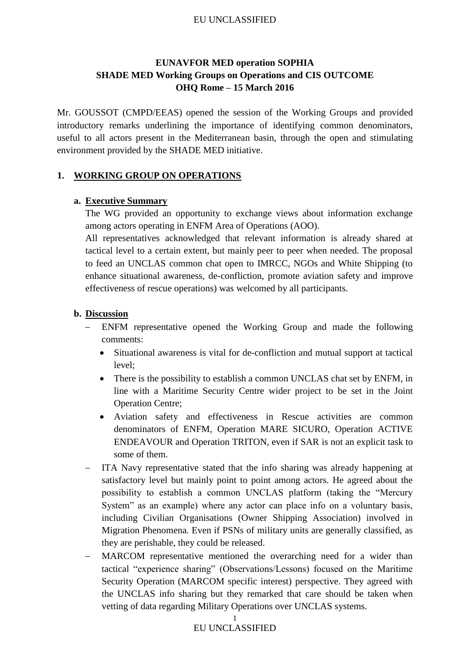#### EU UNCLASSIFIED

# **EUNAVFOR MED operation SOPHIA SHADE MED Working Groups on Operations and CIS OUTCOME OHQ Rome – 15 March 2016**

Mr. GOUSSOT (CMPD/EEAS) opened the session of the Working Groups and provided introductory remarks underlining the importance of identifying common denominators, useful to all actors present in the Mediterranean basin, through the open and stimulating environment provided by the SHADE MED initiative.

#### **1. WORKING GROUP ON OPERATIONS**

#### **a. Executive Summary**

The WG provided an opportunity to exchange views about information exchange among actors operating in ENFM Area of Operations (AOO).

All representatives acknowledged that relevant information is already shared at tactical level to a certain extent, but mainly peer to peer when needed. The proposal to feed an UNCLAS common chat open to IMRCC, NGOs and White Shipping (to enhance situational awareness, de-confliction, promote aviation safety and improve effectiveness of rescue operations) was welcomed by all participants.

#### **b. Discussion**

- ENFM representative opened the Working Group and made the following comments:
	- Situational awareness is vital for de-confliction and mutual support at tactical level;
	- There is the possibility to establish a common UNCLAS chat set by ENFM, in line with a Maritime Security Centre wider project to be set in the Joint Operation Centre;
	- Aviation safety and effectiveness in Rescue activities are common denominators of ENFM, Operation MARE SICURO, Operation ACTIVE ENDEAVOUR and Operation TRITON, even if SAR is not an explicit task to some of them.
- ITA Navy representative stated that the info sharing was already happening at satisfactory level but mainly point to point among actors. He agreed about the possibility to establish a common UNCLAS platform (taking the "Mercury System" as an example) where any actor can place info on a voluntary basis, including Civilian Organisations (Owner Shipping Association) involved in Migration Phenomena. Even if PSNs of military units are generally classified, as they are perishable, they could be released.
- MARCOM representative mentioned the overarching need for a wider than tactical "experience sharing" (Observations/Lessons) focused on the Maritime Security Operation (MARCOM specific interest) perspective. They agreed with the UNCLAS info sharing but they remarked that care should be taken when vetting of data regarding Military Operations over UNCLAS systems.

# EU UNCLASSIFIED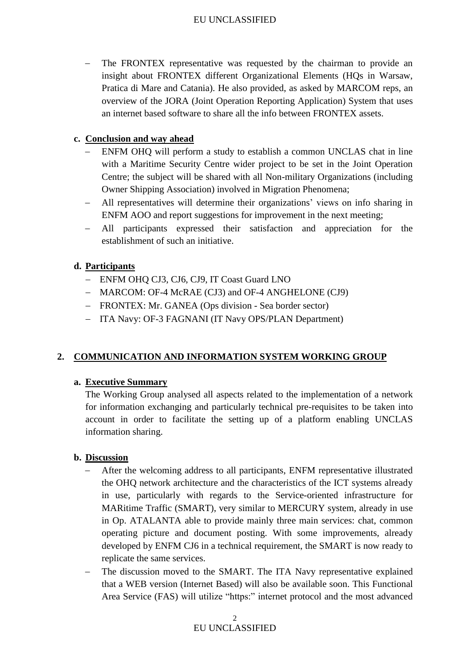#### EU UNCLASSIFIED

- The FRONTEX representative was requested by the chairman to provide an insight about FRONTEX different Organizational Elements (HQs in Warsaw, Pratica di Mare and Catania). He also provided, as asked by MARCOM reps, an overview of the JORA (Joint Operation Reporting Application) System that uses an internet based software to share all the info between FRONTEX assets.

#### **c. Conclusion and way ahead**

- ENFM OHQ will perform a study to establish a common UNCLAS chat in line with a Maritime Security Centre wider project to be set in the Joint Operation Centre; the subject will be shared with all Non-military Organizations (including Owner Shipping Association) involved in Migration Phenomena;
- All representatives will determine their organizations' views on info sharing in ENFM AOO and report suggestions for improvement in the next meeting;
- All participants expressed their satisfaction and appreciation for the establishment of such an initiative.

#### **d. Participants**

- ENFM OHQ CJ3, CJ6, CJ9, IT Coast Guard LNO
- MARCOM: OF-4 McRAE (CJ3) and OF-4 ANGHELONE (CJ9)
- FRONTEX: Mr. GANEA (Ops division Sea border sector)
- ITA Navy: OF-3 FAGNANI (IT Navy OPS/PLAN Department)

# **2. COMMUNICATION AND INFORMATION SYSTEM WORKING GROUP**

#### **a. Executive Summary**

The Working Group analysed all aspects related to the implementation of a network for information exchanging and particularly technical pre-requisites to be taken into account in order to facilitate the setting up of a platform enabling UNCLAS information sharing.

#### **b. Discussion**

- After the welcoming address to all participants, ENFM representative illustrated the OHQ network architecture and the characteristics of the ICT systems already in use, particularly with regards to the Service-oriented infrastructure for MARitime Traffic (SMART), very similar to MERCURY system, already in use in Op. ATALANTA able to provide mainly three main services: chat, common operating picture and document posting. With some improvements, already developed by ENFM CJ6 in a technical requirement, the SMART is now ready to replicate the same services.
- The discussion moved to the SMART. The ITA Navy representative explained that a WEB version (Internet Based) will also be available soon. This Functional Area Service (FAS) will utilize "https:" internet protocol and the most advanced